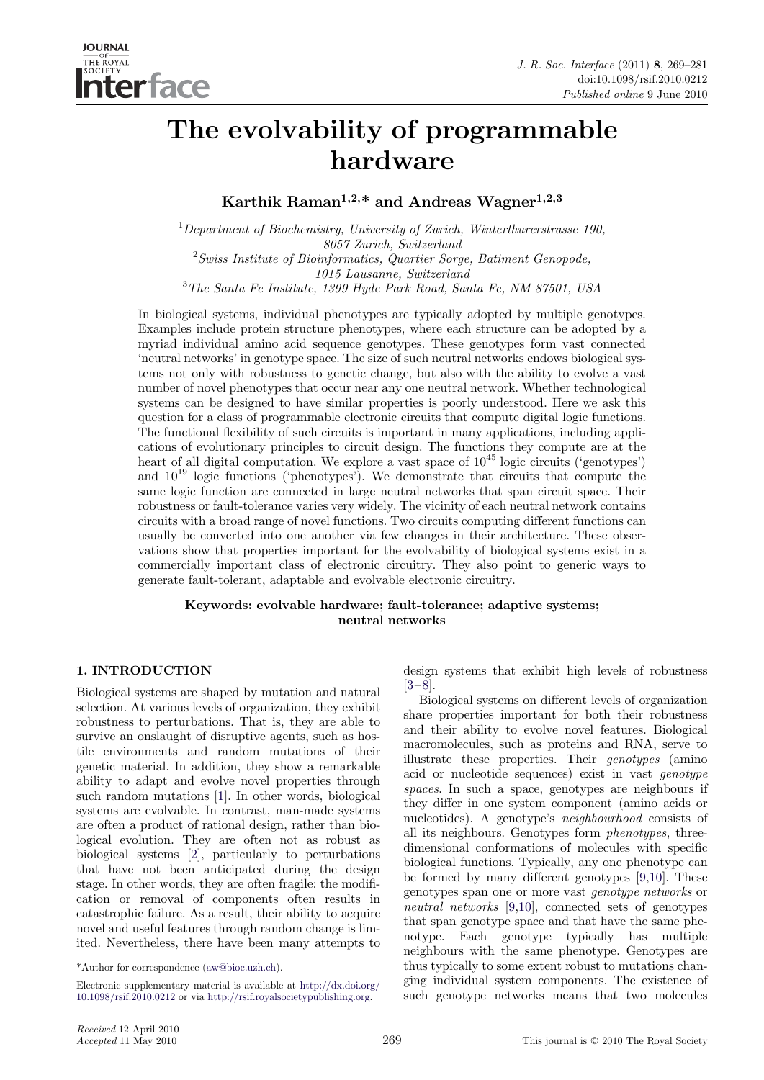

# The evolvability of programmable hardware

Karthik Raman<sup>1,2,\*</sup> and Andreas Wagner<sup>1,2,3</sup>

 $1$ Department of Biochemistry, University of Zurich, Winterthurerstrasse 190, 8057 Zurich, Switzerland <sup>2</sup> Swiss Institute of Bioinformatics, Quartier Sorge, Batiment Genopode, 1015 Lausanne, Switzerland <sup>3</sup>The Santa Fe Institute, 1399 Hyde Park Road, Santa Fe, NM 87501, USA

In biological systems, individual phenotypes are typically adopted by multiple genotypes. Examples include protein structure phenotypes, where each structure can be adopted by a myriad individual amino acid sequence genotypes. These genotypes form vast connected 'neutral networks' in genotype space. The size of such neutral networks endows biological systems not only with robustness to genetic change, but also with the ability to evolve a vast number of novel phenotypes that occur near any one neutral network. Whether technological systems can be designed to have similar properties is poorly understood. Here we ask this question for a class of programmable electronic circuits that compute digital logic functions. The functional flexibility of such circuits is important in many applications, including applications of evolutionary principles to circuit design. The functions they compute are at the heart of all digital computation. We explore a vast space of  $10^{45}$  logic circuits ('genotypes') and  $10^{19}$  logic functions ('phenotypes'). We demonstrate that circuits that compute the same logic function are connected in large neutral networks that span circuit space. Their robustness or fault-tolerance varies very widely. The vicinity of each neutral network contains circuits with a broad range of novel functions. Two circuits computing different functions can usually be converted into one another via few changes in their architecture. These observations show that properties important for the evolvability of biological systems exist in a commercially important class of electronic circuitry. They also point to generic ways to generate fault-tolerant, adaptable and evolvable electronic circuitry.

Keywords: evolvable hardware; fault-tolerance; adaptive systems; neutral networks

## 1. INTRODUCTION

Biological systems are shaped by mutation and natural selection. At various levels of organization, they exhibit robustness to perturbations. That is, they are able to survive an onslaught of disruptive agents, such as hostile environments and random mutations of their genetic material. In addition, they show a remarkable ability to adapt and evolve novel properties through such random mutations [1]. In other words, biological systems are evolvable. In contrast, man-made systems are often a product of rational design, rather than biological evolution. They are often not as robust as biological systems [2], particularly to perturbations that have not been anticipated during the design stage. In other words, they are often fragile: the modification or removal of components often results in catastrophic failure. As a result, their ability to acquire novel and useful features through random change is limited. Nevertheless, there have been many attempts to

Electronic supplementary material is available at http://dx.doi.org/ 10.1098/rsif.2010.0212 or via http://rsif.royalsocietypublishing.org.

design systems that exhibit high levels of robustness [3–8].

Biological systems on different levels of organization share properties important for both their robustness and their ability to evolve novel features. Biological macromolecules, such as proteins and RNA, serve to illustrate these properties. Their genotypes (amino acid or nucleotide sequences) exist in vast genotype spaces. In such a space, genotypes are neighbours if they differ in one system component (amino acids or nucleotides). A genotype's neighbourhood consists of all its neighbours. Genotypes form phenotypes, threedimensional conformations of molecules with specific biological functions. Typically, any one phenotype can be formed by many different genotypes [9,10]. These genotypes span one or more vast genotype networks or neutral networks [9,10], connected sets of genotypes that span genotype space and that have the same phenotype. Each genotype typically has multiple neighbours with the same phenotype. Genotypes are thus typically to some extent robust to mutations changing individual system components. The existence of such genotype networks means that two molecules

<sup>\*</sup>Author for correspondence (aw@bioc.uzh.ch).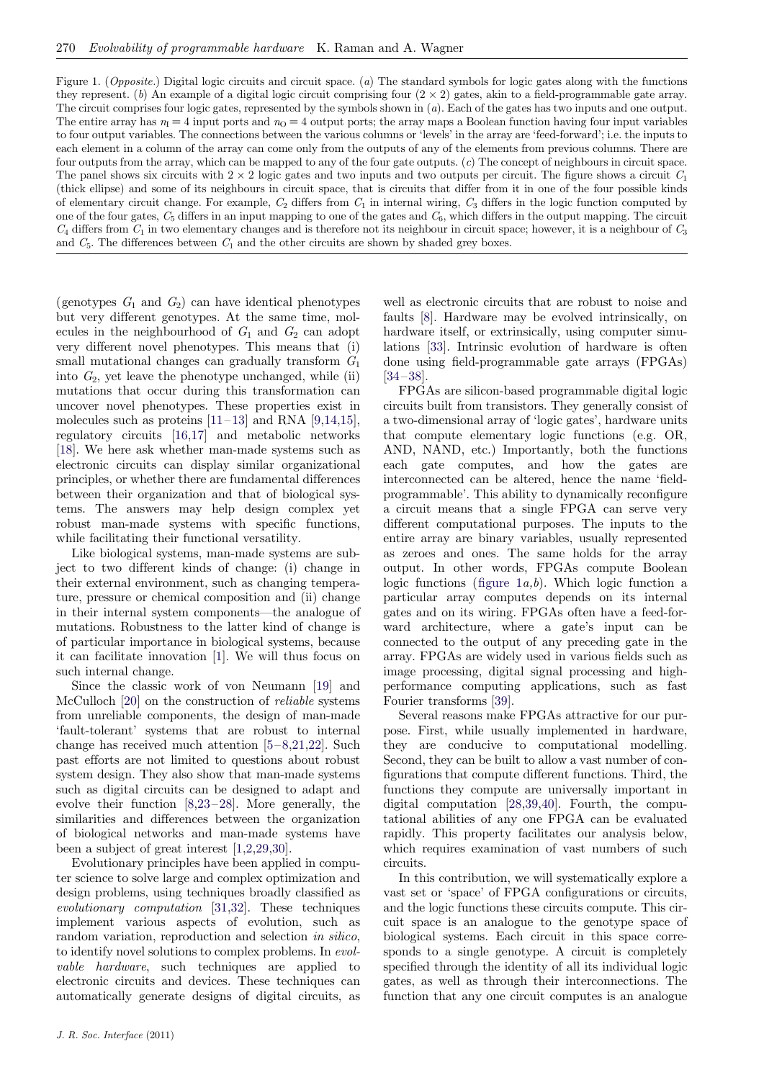Figure 1. (*Opposite.*) Digital logic circuits and circuit space. (a) The standard symbols for logic gates along with the functions they represent. (b) An example of a digital logic circuit comprising four  $(2 \times 2)$  gates, akin to a field-programmable gate array. The circuit comprises four logic gates, represented by the symbols shown in (a). Each of the gates has two inputs and one output. The entire array has  $n_1 = 4$  input ports and  $n_0 = 4$  output ports; the array maps a Boolean function having four input variables to four output variables. The connections between the various columns or 'levels' in the array are 'feed-forward'; i.e. the inputs to each element in a column of the array can come only from the outputs of any of the elements from previous columns. There are four outputs from the array, which can be mapped to any of the four gate outputs.  $(c)$  The concept of neighbours in circuit space. The panel shows six circuits with  $2 \times 2$  logic gates and two inputs and two outputs per circuit. The figure shows a circuit  $C_1$ (thick ellipse) and some of its neighbours in circuit space, that is circuits that differ from it in one of the four possible kinds of elementary circuit change. For example,  $C_2$  differs from  $C_1$  in internal wiring,  $C_3$  differs in the logic function computed by one of the four gates,  $C_5$  differs in an input mapping to one of the gates and  $C_6$ , which differs in the output mapping. The circuit  $C_4$  differs from  $C_1$  in two elementary changes and is therefore not its neighbour in circuit space; however, it is a neighbour of  $C_3$ and  $C_5$ . The differences between  $C_1$  and the other circuits are shown by shaded grey boxes.

(genotypes  $G_1$  and  $G_2$ ) can have identical phenotypes but very different genotypes. At the same time, molecules in the neighbourhood of  $G_1$  and  $G_2$  can adopt very different novel phenotypes. This means that (i) small mutational changes can gradually transform  $G_1$ into  $G_2$ , yet leave the phenotype unchanged, while (ii) mutations that occur during this transformation can uncover novel phenotypes. These properties exist in molecules such as proteins  $[11-13]$  and RNA  $[9,14,15]$ , regulatory circuits [16,17] and metabolic networks [18]. We here ask whether man-made systems such as electronic circuits can display similar organizational principles, or whether there are fundamental differences between their organization and that of biological systems. The answers may help design complex yet robust man-made systems with specific functions, while facilitating their functional versatility.

Like biological systems, man-made systems are subject to two different kinds of change: (i) change in their external environment, such as changing temperature, pressure or chemical composition and (ii) change in their internal system components—the analogue of mutations. Robustness to the latter kind of change is of particular importance in biological systems, because it can facilitate innovation [1]. We will thus focus on such internal change.

Since the classic work of von Neumann [19] and McCulloch [20] on the construction of reliable systems from unreliable components, the design of man-made 'fault-tolerant' systems that are robust to internal change has received much attention [5–8,21,22]. Such past efforts are not limited to questions about robust system design. They also show that man-made systems such as digital circuits can be designed to adapt and evolve their function [8,23–28]. More generally, the similarities and differences between the organization of biological networks and man-made systems have been a subject of great interest [1,2,29,30].

Evolutionary principles have been applied in computer science to solve large and complex optimization and design problems, using techniques broadly classified as evolutionary computation [31,32]. These techniques implement various aspects of evolution, such as random variation, reproduction and selection in silico, to identify novel solutions to complex problems. In evolvable hardware, such techniques are applied to electronic circuits and devices. These techniques can automatically generate designs of digital circuits, as

well as electronic circuits that are robust to noise and faults [8]. Hardware may be evolved intrinsically, on hardware itself, or extrinsically, using computer simulations [33]. Intrinsic evolution of hardware is often done using field-programmable gate arrays (FPGAs) [34–38].

FPGAs are silicon-based programmable digital logic circuits built from transistors. They generally consist of a two-dimensional array of 'logic gates', hardware units that compute elementary logic functions (e.g. OR, AND, NAND, etc.) Importantly, both the functions each gate computes, and how the gates are interconnected can be altered, hence the name 'fieldprogrammable'. This ability to dynamically reconfigure a circuit means that a single FPGA can serve very different computational purposes. The inputs to the entire array are binary variables, usually represented as zeroes and ones. The same holds for the array output. In other words, FPGAs compute Boolean logic functions (figure  $1a,b$ ). Which logic function a particular array computes depends on its internal gates and on its wiring. FPGAs often have a feed-forward architecture, where a gate's input can be connected to the output of any preceding gate in the array. FPGAs are widely used in various fields such as image processing, digital signal processing and highperformance computing applications, such as fast Fourier transforms [39].

Several reasons make FPGAs attractive for our purpose. First, while usually implemented in hardware, they are conducive to computational modelling. Second, they can be built to allow a vast number of configurations that compute different functions. Third, the functions they compute are universally important in digital computation [28,39,40]. Fourth, the computational abilities of any one FPGA can be evaluated rapidly. This property facilitates our analysis below, which requires examination of vast numbers of such circuits.

In this contribution, we will systematically explore a vast set or 'space' of FPGA configurations or circuits, and the logic functions these circuits compute. This circuit space is an analogue to the genotype space of biological systems. Each circuit in this space corresponds to a single genotype. A circuit is completely specified through the identity of all its individual logic gates, as well as through their interconnections. The function that any one circuit computes is an analogue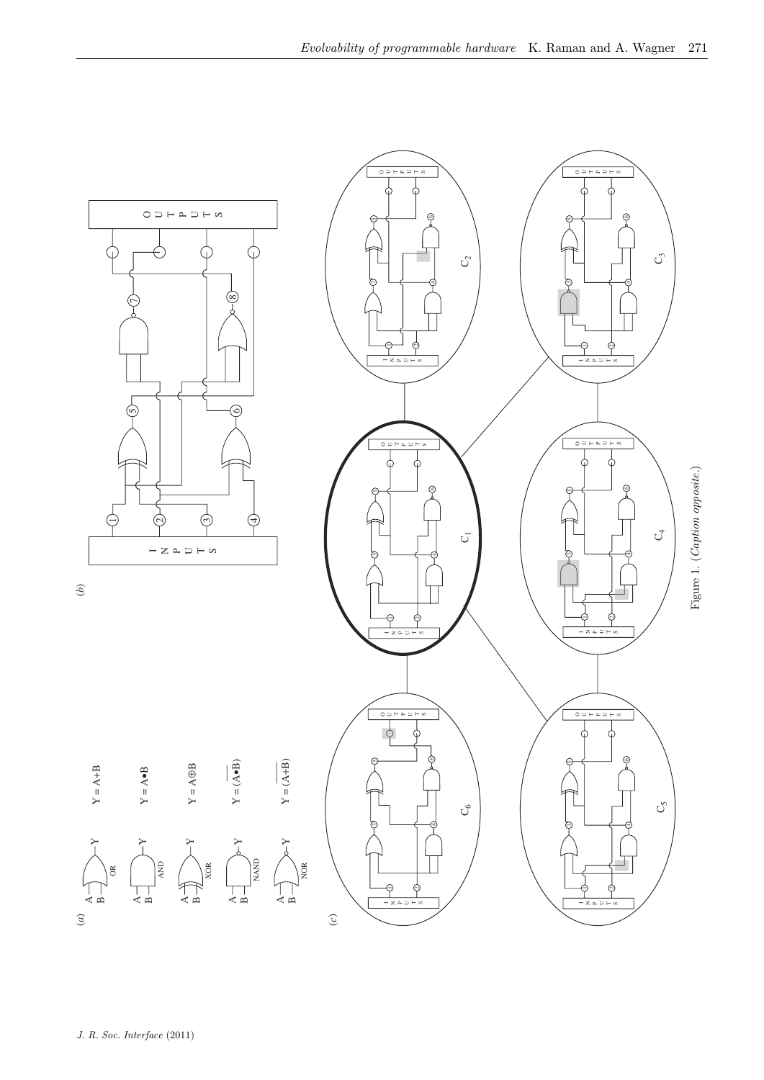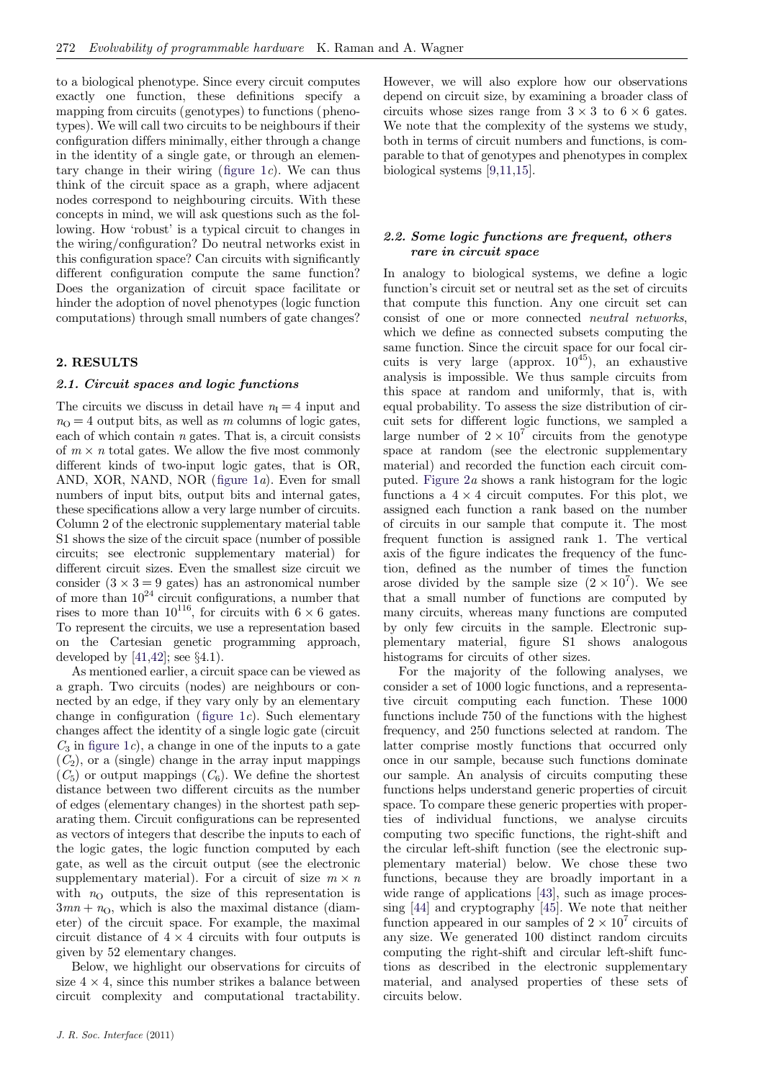to a biological phenotype. Since every circuit computes exactly one function, these definitions specify a mapping from circuits (genotypes) to functions (phenotypes). We will call two circuits to be neighbours if their configuration differs minimally, either through a change in the identity of a single gate, or through an elementary change in their wiring (figure  $1c$ ). We can thus think of the circuit space as a graph, where adjacent nodes correspond to neighbouring circuits. With these concepts in mind, we will ask questions such as the following. How 'robust' is a typical circuit to changes in the wiring/configuration? Do neutral networks exist in this configuration space? Can circuits with significantly different configuration compute the same function? Does the organization of circuit space facilitate or hinder the adoption of novel phenotypes (logic function computations) through small numbers of gate changes?

#### 2. RESULTS

#### 2.1. Circuit spaces and logic functions

The circuits we discuss in detail have  $n<sub>I</sub> = 4$  input and  $n<sub>O</sub> = 4$  output bits, as well as m columns of logic gates, each of which contain  $n$  gates. That is, a circuit consists of  $m \times n$  total gates. We allow the five most commonly different kinds of two-input logic gates, that is OR, AND, XOR, NAND, NOR (figure 1a). Even for small numbers of input bits, output bits and internal gates, these specifications allow a very large number of circuits. Column 2 of the electronic supplementary material table S1 shows the size of the circuit space (number of possible circuits; see electronic supplementary material) for different circuit sizes. Even the smallest size circuit we consider  $(3 \times 3 = 9$  gates) has an astronomical number of more than  $10^{24}$  circuit configurations, a number that rises to more than  $10^{116}$ , for circuits with  $6 \times 6$  gates. To represent the circuits, we use a representation based on the Cartesian genetic programming approach, developed by  $[41, 42]$ ; see  $\S 4.1$ ).

As mentioned earlier, a circuit space can be viewed as a graph. Two circuits (nodes) are neighbours or connected by an edge, if they vary only by an elementary change in configuration (figure 1c). Such elementary changes affect the identity of a single logic gate (circuit  $C_3$  in figure 1c), a change in one of the inputs to a gate  $(C_2)$ , or a (single) change in the array input mappings  $(C_5)$  or output mappings  $(C_6)$ . We define the shortest distance between two different circuits as the number of edges (elementary changes) in the shortest path separating them. Circuit configurations can be represented as vectors of integers that describe the inputs to each of the logic gates, the logic function computed by each gate, as well as the circuit output (see the electronic supplementary material). For a circuit of size  $m \times n$ with  $n_{\text{O}}$  outputs, the size of this representation is  $3mn + n<sub>O</sub>$ , which is also the maximal distance (diameter) of the circuit space. For example, the maximal circuit distance of  $4 \times 4$  circuits with four outputs is given by 52 elementary changes.

Below, we highlight our observations for circuits of size  $4 \times 4$ , since this number strikes a balance between circuit complexity and computational tractability.

However, we will also explore how our observations depend on circuit size, by examining a broader class of circuits whose sizes range from  $3 \times 3$  to  $6 \times 6$  gates. We note that the complexity of the systems we study, both in terms of circuit numbers and functions, is comparable to that of genotypes and phenotypes in complex biological systems [9,11,15].

#### 2.2. Some logic functions are frequent, others rare in circuit space

In analogy to biological systems, we define a logic function's circuit set or neutral set as the set of circuits that compute this function. Any one circuit set can consist of one or more connected neutral networks, which we define as connected subsets computing the same function. Since the circuit space for our focal circuits is very large (approx.  $10^{45}$ ), an exhaustive analysis is impossible. We thus sample circuits from this space at random and uniformly, that is, with equal probability. To assess the size distribution of circuit sets for different logic functions, we sampled a large number of  $2 \times 10^{7}$  circuits from the genotype space at random (see the electronic supplementary material) and recorded the function each circuit computed. Figure 2a shows a rank histogram for the logic functions a  $4 \times 4$  circuit computes. For this plot, we assigned each function a rank based on the number of circuits in our sample that compute it. The most frequent function is assigned rank 1. The vertical axis of the figure indicates the frequency of the function, defined as the number of times the function arose divided by the sample size  $(2 \times 10^7)$ . We see that a small number of functions are computed by many circuits, whereas many functions are computed by only few circuits in the sample. Electronic supplementary material, figure S1 shows analogous histograms for circuits of other sizes.

For the majority of the following analyses, we consider a set of 1000 logic functions, and a representative circuit computing each function. These 1000 functions include 750 of the functions with the highest frequency, and 250 functions selected at random. The latter comprise mostly functions that occurred only once in our sample, because such functions dominate our sample. An analysis of circuits computing these functions helps understand generic properties of circuit space. To compare these generic properties with properties of individual functions, we analyse circuits computing two specific functions, the right-shift and the circular left-shift function (see the electronic supplementary material) below. We chose these two functions, because they are broadly important in a wide range of applications [43], such as image processing [44] and cryptography [45]. We note that neither function appeared in our samples of  $2 \times 10^7$  circuits of any size. We generated 100 distinct random circuits computing the right-shift and circular left-shift functions as described in the electronic supplementary material, and analysed properties of these sets of circuits below.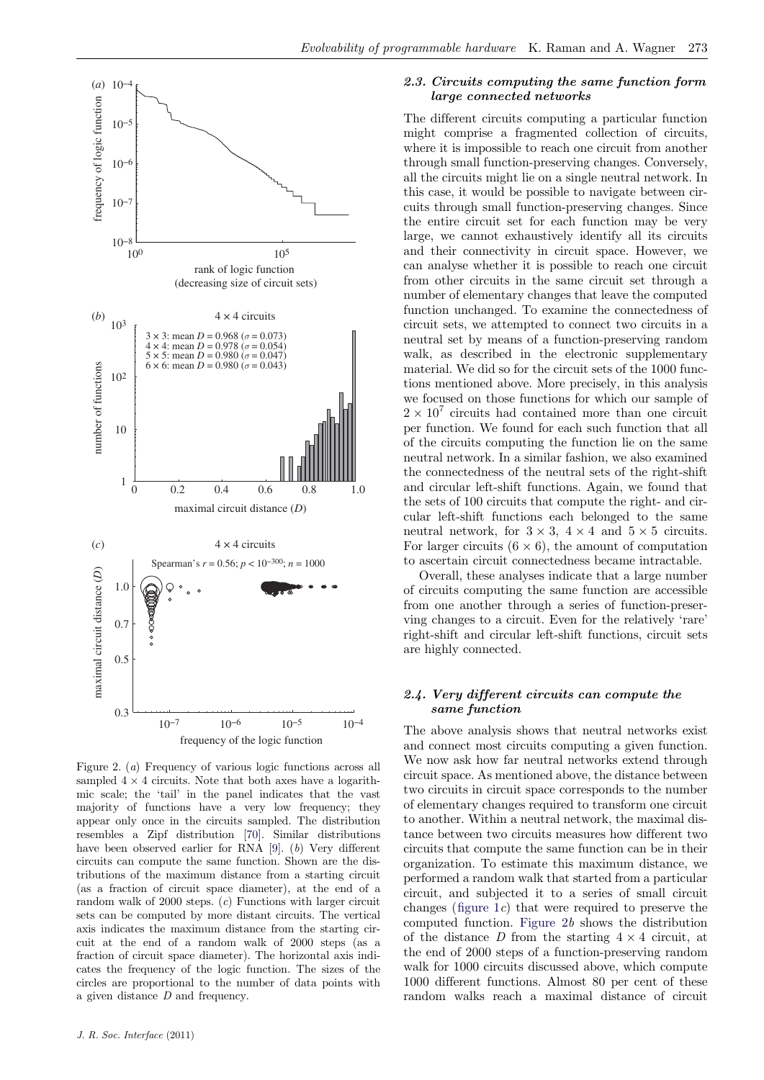

Figure 2. (a) Frequency of various logic functions across all sampled  $4 \times 4$  circuits. Note that both axes have a logarithmic scale; the 'tail' in the panel indicates that the vast majority of functions have a very low frequency; they appear only once in the circuits sampled. The distribution resembles a Zipf distribution [70]. Similar distributions have been observed earlier for RNA [9]. (b) Very different circuits can compute the same function. Shown are the distributions of the maximum distance from a starting circuit (as a fraction of circuit space diameter), at the end of a random walk of 2000 steps. (c) Functions with larger circuit sets can be computed by more distant circuits. The vertical axis indicates the maximum distance from the starting circuit at the end of a random walk of 2000 steps (as a fraction of circuit space diameter). The horizontal axis indicates the frequency of the logic function. The sizes of the circles are proportional to the number of data points with a given distance D and frequency.

## J. R. Soc. Interface (2011)

## 2.3. Circuits computing the same function form large connected networks

The different circuits computing a particular function might comprise a fragmented collection of circuits, where it is impossible to reach one circuit from another through small function-preserving changes. Conversely, all the circuits might lie on a single neutral network. In this case, it would be possible to navigate between circuits through small function-preserving changes. Since the entire circuit set for each function may be very large, we cannot exhaustively identify all its circuits and their connectivity in circuit space. However, we can analyse whether it is possible to reach one circuit from other circuits in the same circuit set through a number of elementary changes that leave the computed function unchanged. To examine the connectedness of circuit sets, we attempted to connect two circuits in a neutral set by means of a function-preserving random walk, as described in the electronic supplementary material. We did so for the circuit sets of the 1000 functions mentioned above. More precisely, in this analysis we focused on those functions for which our sample of  $2 \times 10^7$  circuits had contained more than one circuit per function. We found for each such function that all of the circuits computing the function lie on the same neutral network. In a similar fashion, we also examined the connectedness of the neutral sets of the right-shift and circular left-shift functions. Again, we found that the sets of 100 circuits that compute the right- and circular left-shift functions each belonged to the same neutral network, for  $3 \times 3$ ,  $4 \times 4$  and  $5 \times 5$  circuits. For larger circuits  $(6 \times 6)$ , the amount of computation to ascertain circuit connectedness became intractable.

Overall, these analyses indicate that a large number of circuits computing the same function are accessible from one another through a series of function-preserving changes to a circuit. Even for the relatively 'rare' right-shift and circular left-shift functions, circuit sets are highly connected.

#### 2.4. Very different circuits can compute the same function

The above analysis shows that neutral networks exist and connect most circuits computing a given function. We now ask how far neutral networks extend through circuit space. As mentioned above, the distance between two circuits in circuit space corresponds to the number of elementary changes required to transform one circuit to another. Within a neutral network, the maximal distance between two circuits measures how different two circuits that compute the same function can be in their organization. To estimate this maximum distance, we performed a random walk that started from a particular circuit, and subjected it to a series of small circuit changes (figure  $1c$ ) that were required to preserve the computed function. Figure  $2b$  shows the distribution of the distance  $D$  from the starting  $4 \times 4$  circuit, at the end of 2000 steps of a function-preserving random walk for 1000 circuits discussed above, which compute 1000 different functions. Almost 80 per cent of these random walks reach a maximal distance of circuit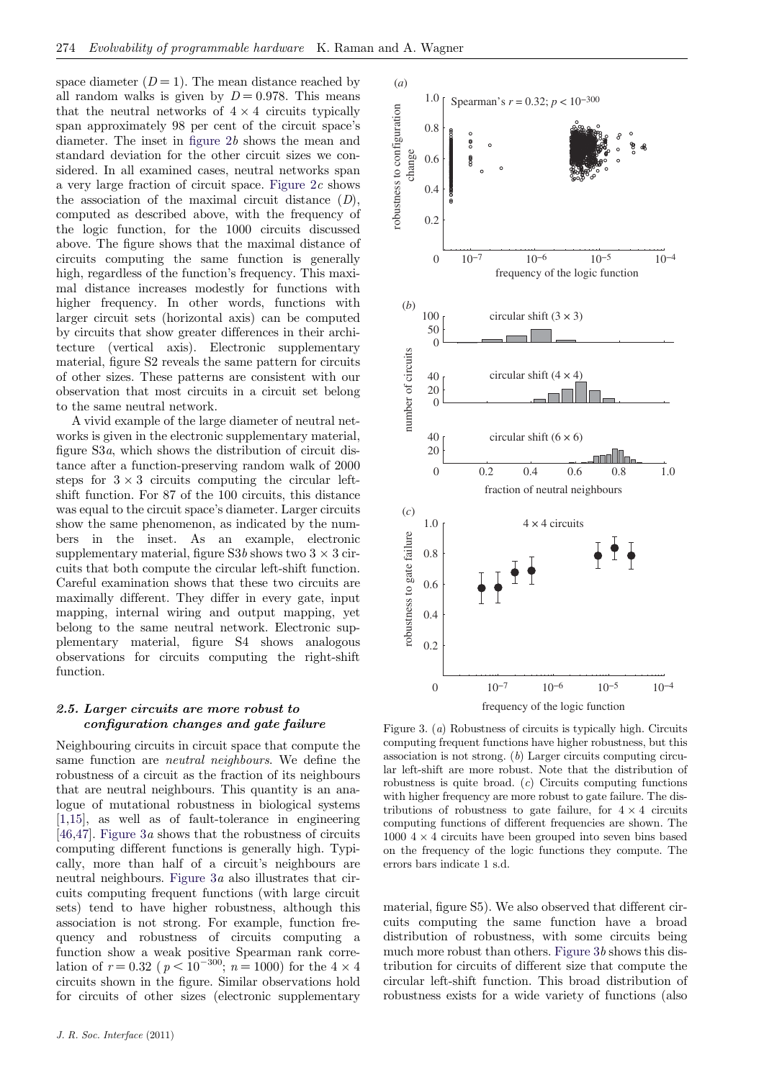(*a*)

1.0

space diameter  $(D = 1)$ . The mean distance reached by all random walks is given by  $D = 0.978$ . This means that the neutral networks of  $4 \times 4$  circuits typically span approximately 98 per cent of the circuit space's diameter. The inset in figure 2b shows the mean and standard deviation for the other circuit sizes we considered. In all examined cases, neutral networks span a very large fraction of circuit space. Figure 2c shows the association of the maximal circuit distance  $(D)$ , computed as described above, with the frequency of the logic function, for the 1000 circuits discussed above. The figure shows that the maximal distance of circuits computing the same function is generally high, regardless of the function's frequency. This maximal distance increases modestly for functions with higher frequency. In other words, functions with larger circuit sets (horizontal axis) can be computed by circuits that show greater differences in their architecture (vertical axis). Electronic supplementary material, figure S2 reveals the same pattern for circuits of other sizes. These patterns are consistent with our observation that most circuits in a circuit set belong to the same neutral network.

A vivid example of the large diameter of neutral networks is given in the electronic supplementary material. figure S3a, which shows the distribution of circuit distance after a function-preserving random walk of 2000 steps for  $3 \times 3$  circuits computing the circular leftshift function. For 87 of the 100 circuits, this distance was equal to the circuit space's diameter. Larger circuits show the same phenomenon, as indicated by the numbers in the inset. As an example, electronic supplementary material, figure  $S3b$  shows two  $3 \times 3$  circuits that both compute the circular left-shift function. Careful examination shows that these two circuits are maximally different. They differ in every gate, input mapping, internal wiring and output mapping, yet belong to the same neutral network. Electronic supplementary material, figure S4 shows analogous observations for circuits computing the right-shift function.

#### 2.5. Larger circuits are more robust to configuration changes and gate failure

Neighbouring circuits in circuit space that compute the same function are neutral neighbours. We define the robustness of a circuit as the fraction of its neighbours that are neutral neighbours. This quantity is an analogue of mutational robustness in biological systems [1,15], as well as of fault-tolerance in engineering [46,47]. Figure 3a shows that the robustness of circuits computing different functions is generally high. Typically, more than half of a circuit's neighbours are neutral neighbours. Figure 3a also illustrates that circuits computing frequent functions (with large circuit sets) tend to have higher robustness, although this association is not strong. For example, function frequency and robustness of circuits computing a function show a weak positive Spearman rank correlation of  $r = 0.32$  ( $p < 10^{-300}$ ;  $n = 1000$ ) for the  $4 \times 4$ circuits shown in the figure. Similar observations hold for circuits of other sizes (electronic supplementary



Spearman's *r* = 0.32; *p* < 10−300

frequency of the logic function

Figure 3. (a) Robustness of circuits is typically high. Circuits computing frequent functions have higher robustness, but this association is not strong. (b) Larger circuits computing circular left-shift are more robust. Note that the distribution of robustness is quite broad. (c) Circuits computing functions with higher frequency are more robust to gate failure. The distributions of robustness to gate failure, for  $4 \times 4$  circuits computing functions of different frequencies are shown. The  $1000 \, 4 \times 4$  circuits have been grouped into seven bins based on the frequency of the logic functions they compute. The errors bars indicate 1 s.d.

material, figure S5). We also observed that different circuits computing the same function have a broad distribution of robustness, with some circuits being much more robust than others. Figure 3b shows this distribution for circuits of different size that compute the circular left-shift function. This broad distribution of robustness exists for a wide variety of functions (also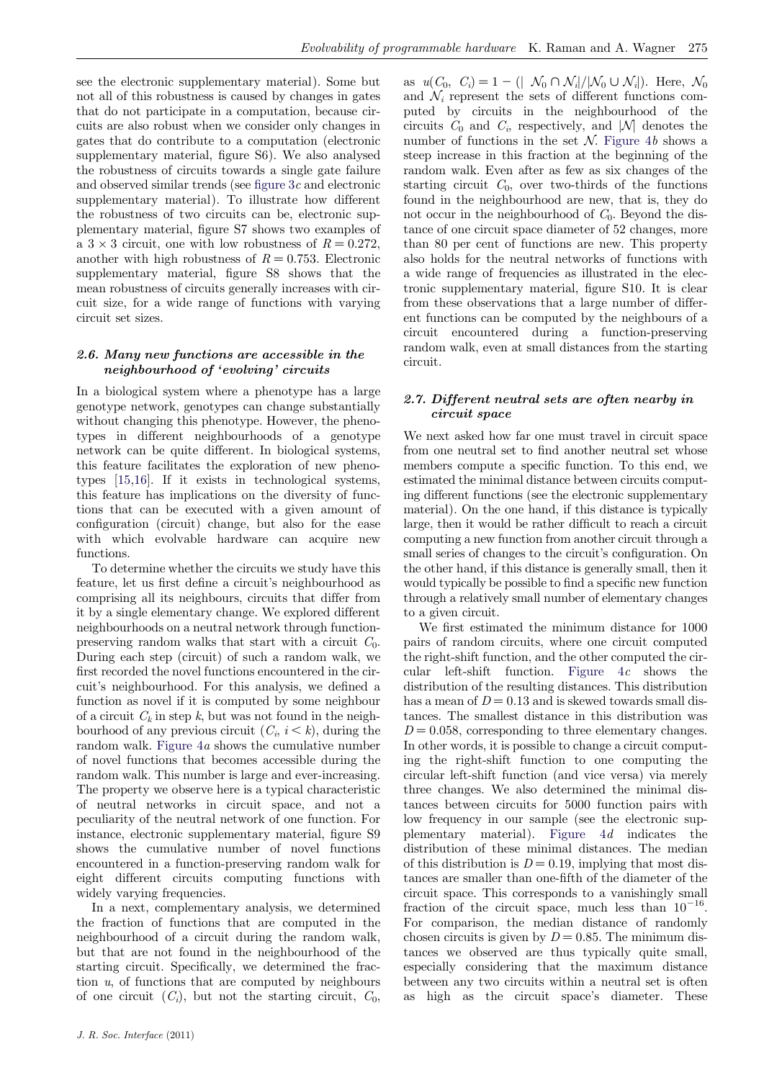see the electronic supplementary material). Some but not all of this robustness is caused by changes in gates that do not participate in a computation, because circuits are also robust when we consider only changes in gates that do contribute to a computation (electronic supplementary material, figure S6). We also analysed the robustness of circuits towards a single gate failure and observed similar trends (see figure  $3c$  and electronic supplementary material). To illustrate how different the robustness of two circuits can be, electronic supplementary material, figure S7 shows two examples of a  $3 \times 3$  circuit, one with low robustness of  $R = 0.272$ , another with high robustness of  $R = 0.753$ . Electronic supplementary material, figure S8 shows that the mean robustness of circuits generally increases with circuit size, for a wide range of functions with varying circuit set sizes.

#### 2.6. Many new functions are accessible in the neighbourhood of 'evolving' circuits

In a biological system where a phenotype has a large genotype network, genotypes can change substantially without changing this phenotype. However, the phenotypes in different neighbourhoods of a genotype network can be quite different. In biological systems, this feature facilitates the exploration of new phenotypes [15,16]. If it exists in technological systems, this feature has implications on the diversity of functions that can be executed with a given amount of configuration (circuit) change, but also for the ease with which evolvable hardware can acquire new functions.

To determine whether the circuits we study have this feature, let us first define a circuit's neighbourhood as comprising all its neighbours, circuits that differ from it by a single elementary change. We explored different neighbourhoods on a neutral network through functionpreserving random walks that start with a circuit  $C_0$ . During each step (circuit) of such a random walk, we first recorded the novel functions encountered in the circuit's neighbourhood. For this analysis, we defined a function as novel if it is computed by some neighbour of a circuit  $C_k$  in step k, but was not found in the neighbourhood of any previous circuit  $(C_i, i \leq k)$ , during the random walk. Figure 4a shows the cumulative number of novel functions that becomes accessible during the random walk. This number is large and ever-increasing. The property we observe here is a typical characteristic of neutral networks in circuit space, and not a peculiarity of the neutral network of one function. For instance, electronic supplementary material, figure S9 shows the cumulative number of novel functions encountered in a function-preserving random walk for eight different circuits computing functions with widely varying frequencies.

In a next, complementary analysis, we determined the fraction of functions that are computed in the neighbourhood of a circuit during the random walk, but that are not found in the neighbourhood of the starting circuit. Specifically, we determined the fraction  $u$ , of functions that are computed by neighbours of one circuit  $(C_i)$ , but not the starting circuit,  $C_0$ ,

as  $u(C_0, C_i) = 1 - (|\n\sqrt{0} \cap \mathcal{N}_i| / |\mathcal{N}_0 \cup \mathcal{N}_i|).$  Here,  $\mathcal{N}_0$ and  $\mathcal{N}_i$  represent the sets of different functions computed by circuits in the neighbourhood of the circuits  $C_0$  and  $C_i$ , respectively, and  $|\mathcal{N}|$  denotes the number of functions in the set  $\mathcal N$ . Figure 4b shows a steep increase in this fraction at the beginning of the random walk. Even after as few as six changes of the starting circuit  $C_0$ , over two-thirds of the functions found in the neighbourhood are new, that is, they do not occur in the neighbourhood of  $C_0$ . Beyond the distance of one circuit space diameter of 52 changes, more than 80 per cent of functions are new. This property also holds for the neutral networks of functions with a wide range of frequencies as illustrated in the electronic supplementary material, figure S10. It is clear from these observations that a large number of different functions can be computed by the neighbours of a circuit encountered during a function-preserving random walk, even at small distances from the starting circuit.

#### 2.7. Different neutral sets are often nearby in circuit space

We next asked how far one must travel in circuit space from one neutral set to find another neutral set whose members compute a specific function. To this end, we estimated the minimal distance between circuits computing different functions (see the electronic supplementary material). On the one hand, if this distance is typically large, then it would be rather difficult to reach a circuit computing a new function from another circuit through a small series of changes to the circuit's configuration. On the other hand, if this distance is generally small, then it would typically be possible to find a specific new function through a relatively small number of elementary changes to a given circuit.

We first estimated the minimum distance for 1000 pairs of random circuits, where one circuit computed the right-shift function, and the other computed the circular left-shift function. Figure 4c shows the distribution of the resulting distances. This distribution has a mean of  $D = 0.13$  and is skewed towards small distances. The smallest distance in this distribution was  $D = 0.058$ , corresponding to three elementary changes. In other words, it is possible to change a circuit computing the right-shift function to one computing the circular left-shift function (and vice versa) via merely three changes. We also determined the minimal distances between circuits for 5000 function pairs with low frequency in our sample (see the electronic supplementary material). Figure 4d indicates the distribution of these minimal distances. The median of this distribution is  $D = 0.19$ , implying that most distances are smaller than one-fifth of the diameter of the circuit space. This corresponds to a vanishingly small fraction of the circuit space, much less than  $10^{-16}$ . For comparison, the median distance of randomly chosen circuits is given by  $D = 0.85$ . The minimum distances we observed are thus typically quite small, especially considering that the maximum distance between any two circuits within a neutral set is often as high as the circuit space's diameter. These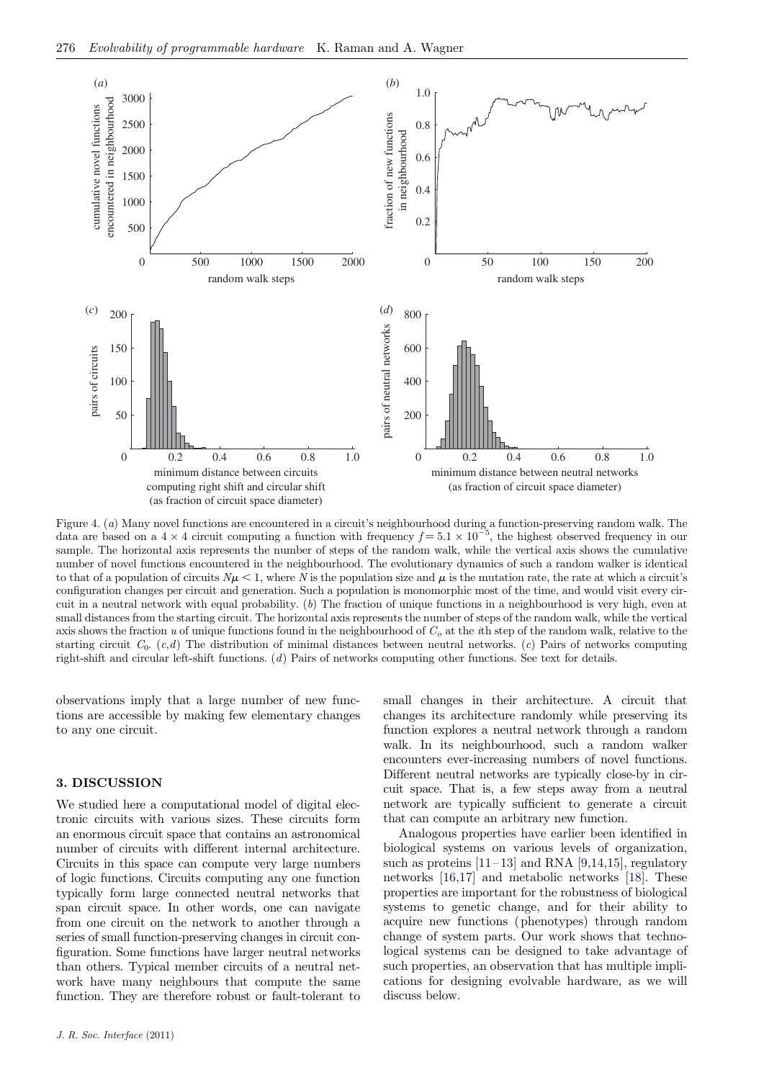

Figure 4. (a) Many novel functions are encountered in a circuit's neighbourhood during a function-preserving random walk. The data are based on a  $4 \times 4$  circuit computing a function with frequency  $f = 5.1 \times 10^{-5}$ , the highest observed frequency in our sample. The horizontal axis represents the number of steps of the random walk, while the vertical axis shows the cumulative number of novel functions encountered in the neighbourhood. The evolutionary dynamics of such a random walker is identical to that of a population of circuits  $N\mu < 1$ , where N is the population size and  $\mu$  is the mutation rate, the rate at which a circuit's configuration changes per circuit and generation. Such a population is monomorphic most of the time, and would visit every circuit in a neutral network with equal probability.  $(b)$  The fraction of unique functions in a neighbourhood is very high, even at small distances from the starting circuit. The horizontal axis represents the number of steps of the random walk, while the vertical axis shows the fraction  $u$  of unique functions found in the neighbourhood of  $C_i$ , at the *i*th step of the random walk, relative to the starting circuit  $C_0$ . (c,d) The distribution of minimal distances between neutral networks. (c) Pairs of networks computing right-shift and circular left-shift functions. (d) Pairs of networks computing other functions. See text for details.

observations imply that a large number of new functions are accessible by making few elementary changes to any one circuit.

## 3. DISCUSSION

We studied here a computational model of digital electronic circuits with various sizes. These circuits form an enormous circuit space that contains an astronomical number of circuits with different internal architecture. Circuits in this space can compute very large numbers of logic functions. Circuits computing any one function typically form large connected neutral networks that span circuit space. In other words, one can navigate from one circuit on the network to another through a series of small function-preserving changes in circuit configuration. Some functions have larger neutral networks than others. Typical member circuits of a neutral network have many neighbours that compute the same function. They are therefore robust or fault-tolerant to

small changes in their architecture. A circuit that changes its architecture randomly while preserving its function explores a neutral network through a random walk. In its neighbourhood, such a random walker encounters ever-increasing numbers of novel functions. Different neutral networks are typically close-by in circuit space. That is, a few steps away from a neutral network are typically sufficient to generate a circuit that can compute an arbitrary new function.

Analogous properties have earlier been identified in biological systems on various levels of organization, such as proteins  $[11-13]$  and RNA  $[9,14,15]$ , regulatory networks [16,17] and metabolic networks [18]. These properties are important for the robustness of biological systems to genetic change, and for their ability to acquire new functions (phenotypes) through random change of system parts. Our work shows that technological systems can be designed to take advantage of such properties, an observation that has multiple implications for designing evolvable hardware, as we will discuss below.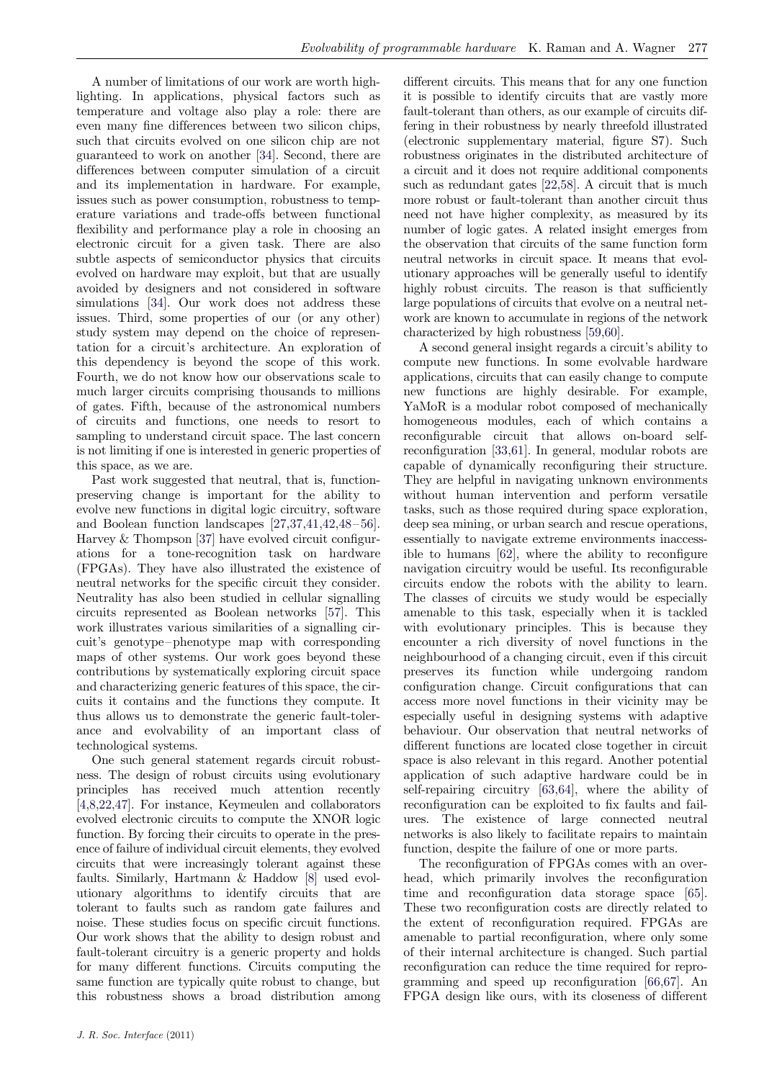A number of limitations of our work are worth highlighting. In applications, physical factors such as temperature and voltage also play a role: there are even many fine differences between two silicon chips, such that circuits evolved on one silicon chip are not guaranteed to work on another [34]. Second, there are differences between computer simulation of a circuit and its implementation in hardware. For example, issues such as power consumption, robustness to temperature variations and trade-offs between functional flexibility and performance play a role in choosing an electronic circuit for a given task. There are also subtle aspects of semiconductor physics that circuits evolved on hardware may exploit, but that are usually avoided by designers and not considered in software simulations [34]. Our work does not address these issues. Third, some properties of our (or any other) study system may depend on the choice of representation for a circuit's architecture. An exploration of this dependency is beyond the scope of this work. Fourth, we do not know how our observations scale to much larger circuits comprising thousands to millions of gates. Fifth, because of the astronomical numbers of circuits and functions, one needs to resort to sampling to understand circuit space. The last concern is not limiting if one is interested in generic properties of this space, as we are.

Past work suggested that neutral, that is, functionpreserving change is important for the ability to evolve new functions in digital logic circuitry, software and Boolean function landscapes [27,37,41,42,48–56]. Harvey & Thompson [37] have evolved circuit configurations for a tone-recognition task on hardware (FPGAs). They have also illustrated the existence of neutral networks for the specific circuit they consider. Neutrality has also been studied in cellular signalling circuits represented as Boolean networks [57]. This work illustrates various similarities of a signalling circuit's genotype –phenotype map with corresponding maps of other systems. Our work goes beyond these contributions by systematically exploring circuit space and characterizing generic features of this space, the circuits it contains and the functions they compute. It thus allows us to demonstrate the generic fault-tolerance and evolvability of an important class of technological systems.

One such general statement regards circuit robustness. The design of robust circuits using evolutionary principles has received much attention recently [4,8,22,47]. For instance, Keymeulen and collaborators evolved electronic circuits to compute the XNOR logic function. By forcing their circuits to operate in the presence of failure of individual circuit elements, they evolved circuits that were increasingly tolerant against these faults. Similarly, Hartmann & Haddow [8] used evolutionary algorithms to identify circuits that are tolerant to faults such as random gate failures and noise. These studies focus on specific circuit functions. Our work shows that the ability to design robust and fault-tolerant circuitry is a generic property and holds for many different functions. Circuits computing the same function are typically quite robust to change, but this robustness shows a broad distribution among

different circuits. This means that for any one function it is possible to identify circuits that are vastly more fault-tolerant than others, as our example of circuits differing in their robustness by nearly threefold illustrated (electronic supplementary material, figure S7). Such robustness originates in the distributed architecture of a circuit and it does not require additional components such as redundant gates [22,58]. A circuit that is much more robust or fault-tolerant than another circuit thus need not have higher complexity, as measured by its number of logic gates. A related insight emerges from the observation that circuits of the same function form neutral networks in circuit space. It means that evolutionary approaches will be generally useful to identify highly robust circuits. The reason is that sufficiently large populations of circuits that evolve on a neutral network are known to accumulate in regions of the network characterized by high robustness [59,60].

A second general insight regards a circuit's ability to compute new functions. In some evolvable hardware applications, circuits that can easily change to compute new functions are highly desirable. For example, YaMoR is a modular robot composed of mechanically homogeneous modules, each of which contains a reconfigurable circuit that allows on-board selfreconfiguration [33,61]. In general, modular robots are capable of dynamically reconfiguring their structure. They are helpful in navigating unknown environments without human intervention and perform versatile tasks, such as those required during space exploration, deep sea mining, or urban search and rescue operations, essentially to navigate extreme environments inaccessible to humans [62], where the ability to reconfigure navigation circuitry would be useful. Its reconfigurable circuits endow the robots with the ability to learn. The classes of circuits we study would be especially amenable to this task, especially when it is tackled with evolutionary principles. This is because they encounter a rich diversity of novel functions in the neighbourhood of a changing circuit, even if this circuit preserves its function while undergoing random configuration change. Circuit configurations that can access more novel functions in their vicinity may be especially useful in designing systems with adaptive behaviour. Our observation that neutral networks of different functions are located close together in circuit space is also relevant in this regard. Another potential application of such adaptive hardware could be in self-repairing circuitry [63,64], where the ability of reconfiguration can be exploited to fix faults and failures. The existence of large connected neutral networks is also likely to facilitate repairs to maintain function, despite the failure of one or more parts.

The reconfiguration of FPGAs comes with an overhead, which primarily involves the reconfiguration time and reconfiguration data storage space [65]. These two reconfiguration costs are directly related to the extent of reconfiguration required. FPGAs are amenable to partial reconfiguration, where only some of their internal architecture is changed. Such partial reconfiguration can reduce the time required for reprogramming and speed up reconfiguration [66,67]. An FPGA design like ours, with its closeness of different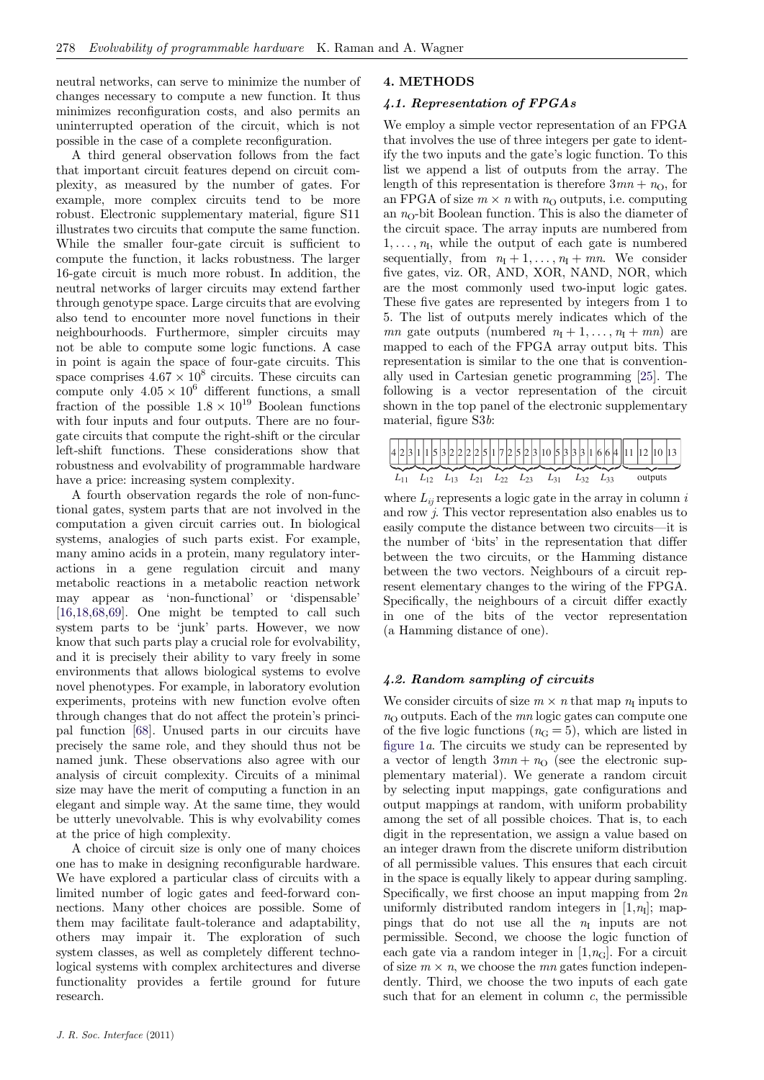neutral networks, can serve to minimize the number of changes necessary to compute a new function. It thus minimizes reconfiguration costs, and also permits an uninterrupted operation of the circuit, which is not possible in the case of a complete reconfiguration.

A third general observation follows from the fact that important circuit features depend on circuit complexity, as measured by the number of gates. For example, more complex circuits tend to be more robust. Electronic supplementary material, figure S11 illustrates two circuits that compute the same function. While the smaller four-gate circuit is sufficient to compute the function, it lacks robustness. The larger 16-gate circuit is much more robust. In addition, the neutral networks of larger circuits may extend farther through genotype space. Large circuits that are evolving also tend to encounter more novel functions in their neighbourhoods. Furthermore, simpler circuits may not be able to compute some logic functions. A case in point is again the space of four-gate circuits. This space comprises  $4.67 \times 10^8$  circuits. These circuits can compute only  $4.05 \times 10^6$  different functions, a small fraction of the possible  $1.8 \times 10^{19}$  Boolean functions with four inputs and four outputs. There are no fourgate circuits that compute the right-shift or the circular left-shift functions. These considerations show that robustness and evolvability of programmable hardware have a price: increasing system complexity.

A fourth observation regards the role of non-functional gates, system parts that are not involved in the computation a given circuit carries out. In biological systems, analogies of such parts exist. For example, many amino acids in a protein, many regulatory interactions in a gene regulation circuit and many metabolic reactions in a metabolic reaction network may appear as 'non-functional' or 'dispensable' [16,18,68,69]. One might be tempted to call such system parts to be 'junk' parts. However, we now know that such parts play a crucial role for evolvability, and it is precisely their ability to vary freely in some environments that allows biological systems to evolve novel phenotypes. For example, in laboratory evolution experiments, proteins with new function evolve often through changes that do not affect the protein's principal function [68]. Unused parts in our circuits have precisely the same role, and they should thus not be named junk. These observations also agree with our analysis of circuit complexity. Circuits of a minimal size may have the merit of computing a function in an elegant and simple way. At the same time, they would be utterly unevolvable. This is why evolvability comes at the price of high complexity.

A choice of circuit size is only one of many choices one has to make in designing reconfigurable hardware. We have explored a particular class of circuits with a limited number of logic gates and feed-forward connections. Many other choices are possible. Some of them may facilitate fault-tolerance and adaptability, others may impair it. The exploration of such system classes, as well as completely different technological systems with complex architectures and diverse functionality provides a fertile ground for future research.

#### 4. METHODS

#### 4.1. Representation of FPGAs

We employ a simple vector representation of an FPGA that involves the use of three integers per gate to identify the two inputs and the gate's logic function. To this list we append a list of outputs from the array. The length of this representation is therefore  $3mn + n<sub>O</sub>$ , for an FPGA of size  $m \times n$  with  $n<sub>O</sub>$  outputs, i.e. computing an  $n<sub>O</sub>$ -bit Boolean function. This is also the diameter of the circuit space. The array inputs are numbered from  $1, \ldots, n_I$ , while the output of each gate is numbered sequentially, from  $n_1 + 1, \ldots, n_1 + mn$ . We consider five gates, viz. OR, AND, XOR, NAND, NOR, which are the most commonly used two-input logic gates. These five gates are represented by integers from 1 to 5. The list of outputs merely indicates which of the mn gate outputs (numbered  $n_1 + 1, \ldots, n_1 + mn$ ) are mapped to each of the FPGA array output bits. This representation is similar to the one that is conventionally used in Cartesian genetic programming [25]. The following is a vector representation of the circuit shown in the top panel of the electronic supplementary material, figure S3b:



where  $L_{ij}$  represents a logic gate in the array in column i and row j. This vector representation also enables us to easily compute the distance between two circuits—it is the number of 'bits' in the representation that differ between the two circuits, or the Hamming distance between the two vectors. Neighbours of a circuit represent elementary changes to the wiring of the FPGA. Specifically, the neighbours of a circuit differ exactly in one of the bits of the vector representation (a Hamming distance of one).

#### 4.2. Random sampling of circuits

We consider circuits of size  $m \times n$  that map  $n_I$  inputs to  $n<sub>O</sub>$  outputs. Each of the  $mn$  logic gates can compute one of the five logic functions ( $n<sub>G</sub> = 5$ ), which are listed in figure 1a. The circuits we study can be represented by a vector of length  $3mn + n<sub>O</sub>$  (see the electronic supplementary material). We generate a random circuit by selecting input mappings, gate configurations and output mappings at random, with uniform probability among the set of all possible choices. That is, to each digit in the representation, we assign a value based on an integer drawn from the discrete uniform distribution of all permissible values. This ensures that each circuit in the space is equally likely to appear during sampling. Specifically, we first choose an input mapping from  $2n$ uniformly distributed random integers in  $[1, n_I]$ ; mappings that do not use all the  $n<sub>I</sub>$  inputs are not permissible. Second, we choose the logic function of each gate via a random integer in  $[1, n_{\text{G}}]$ . For a circuit of size  $m \times n$ , we choose the mn gates function independently. Third, we choose the two inputs of each gate such that for an element in column  $c$ , the permissible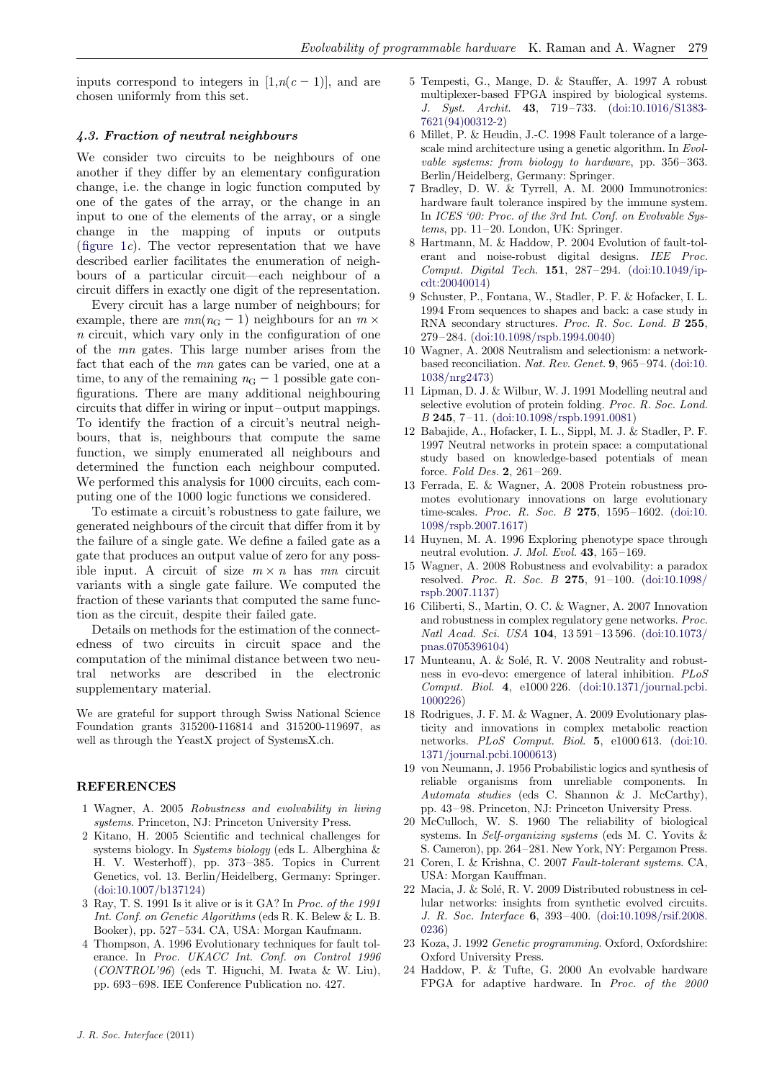inputs correspond to integers in  $[1, n(c-1)]$ , and are chosen uniformly from this set.

#### 4.3. Fraction of neutral neighbours

We consider two circuits to be neighbours of one another if they differ by an elementary configuration change, i.e. the change in logic function computed by one of the gates of the array, or the change in an input to one of the elements of the array, or a single change in the mapping of inputs or outputs (figure 1c). The vector representation that we have described earlier facilitates the enumeration of neighbours of a particular circuit—each neighbour of a circuit differs in exactly one digit of the representation.

Every circuit has a large number of neighbours; for example, there are  $mn(n_{G} - 1)$  neighbours for an  $m \times$ n circuit, which vary only in the configuration of one of the mn gates. This large number arises from the fact that each of the mn gates can be varied, one at a time, to any of the remaining  $n_{\rm G}$  – 1 possible gate configurations. There are many additional neighbouring circuits that differ in wiring or input – output mappings. To identify the fraction of a circuit's neutral neighbours, that is, neighbours that compute the same function, we simply enumerated all neighbours and determined the function each neighbour computed. We performed this analysis for 1000 circuits, each computing one of the 1000 logic functions we considered.

To estimate a circuit's robustness to gate failure, we generated neighbours of the circuit that differ from it by the failure of a single gate. We define a failed gate as a gate that produces an output value of zero for any possible input. A circuit of size  $m \times n$  has mn circuit variants with a single gate failure. We computed the fraction of these variants that computed the same function as the circuit, despite their failed gate.

Details on methods for the estimation of the connectedness of two circuits in circuit space and the computation of the minimal distance between two neutral networks are described in the electronic supplementary material.

We are grateful for support through Swiss National Science Foundation grants 315200-116814 and 315200-119697, as well as through the YeastX project of SystemsX.ch.

#### REFERENCES

- 1 Wagner, A. 2005 Robustness and evolvability in living systems. Princeton, NJ: Princeton University Press.
- 2 Kitano, H. 2005 Scientific and technical challenges for systems biology. In Systems biology (eds L. Alberghina & H. V. Westerhoff), pp. 373-385. Topics in Current Genetics, vol. 13. Berlin/Heidelberg, Germany: Springer. (doi:10.1007/b137124)
- 3 Ray, T. S. 1991 Is it alive or is it GA? In Proc. of the 1991 Int. Conf. on Genetic Algorithms (eds R. K. Belew & L. B. Booker), pp. 527 –534. CA, USA: Morgan Kaufmann.
- 4 Thompson, A. 1996 Evolutionary techniques for fault tolerance. In Proc. UKACC Int. Conf. on Control 1996  $(CONTROL'96)$  (eds T. Higuchi, M. Iwata & W. Liu), pp. 693 –698. IEE Conference Publication no. 427.
- 5 Tempesti, G., Mange, D. & Stauffer, A. 1997 A robust multiplexer-based FPGA inspired by biological systems. J. Syst. Archit. 43, 719 –733. (doi:10.1016/S1383- 7621(94)00312-2)
- 6 Millet, P. & Heudin, J.-C. 1998 Fault tolerance of a largescale mind architecture using a genetic algorithm. In Evolvable systems: from biology to hardware, pp. 356 –363. Berlin/Heidelberg, Germany: Springer.
- 7 Bradley, D. W. & Tyrrell, A. M. 2000 Immunotronics: hardware fault tolerance inspired by the immune system. In ICES '00: Proc. of the 3rd Int. Conf. on Evolvable Sys $tems$ , pp. 11–20. London, UK: Springer.
- 8 Hartmann, M. & Haddow, P. 2004 Evolution of fault-tolerant and noise-robust digital designs. IEE Proc. Comput. Digital Tech. 151, 287 –294. (doi:10.1049/ipcdt:20040014)
- 9 Schuster, P., Fontana, W., Stadler, P. F. & Hofacker, I. L. 1994 From sequences to shapes and back: a case study in RNA secondary structures. Proc. R. Soc. Lond. B 255, 279 –284. (doi:10.1098/rspb.1994.0040)
- 10 Wagner, A. 2008 Neutralism and selectionism: a networkbased reconciliation. Nat. Rev. Genet. 9, 965 –974. (doi:10. 1038/nrg2473)
- 11 Lipman, D. J. & Wilbur, W. J. 1991 Modelling neutral and selective evolution of protein folding. Proc. R. Soc. Lond. B 245, 7–11. (doi:10.1098/rspb.1991.0081)
- 12 Babajide, A., Hofacker, I. L., Sippl, M. J. & Stadler, P. F. 1997 Neutral networks in protein space: a computational study based on knowledge-based potentials of mean force. Fold Des. 2, 261-269.
- 13 Ferrada, E. & Wagner, A. 2008 Protein robustness promotes evolutionary innovations on large evolutionary time-scales. *Proc. R. Soc. B* 275, 1595-1602. (doi:10. 1098/rspb.2007.1617)
- 14 Huynen, M. A. 1996 Exploring phenotype space through neutral evolution. J. Mol. Evol.  $43, 165-169$ .
- 15 Wagner, A. 2008 Robustness and evolvability: a paradox resolved. Proc. R. Soc. B 275, 91–100. (doi:10.1098/ rspb.2007.1137)
- 16 Ciliberti, S., Martin, O. C. & Wagner, A. 2007 Innovation and robustness in complex regulatory gene networks. Proc. Natl Acad. Sci. USA 104, 13 591-13 596. (doi:10.1073/ pnas.0705396104)
- 17 Munteanu, A. & Solé, R. V. 2008 Neutrality and robustness in evo-devo: emergence of lateral inhibition. PLoS Comput. Biol. 4, e1000 226. (doi:10.1371/journal.pcbi. 1000226)
- 18 Rodrigues, J. F. M. & Wagner, A. 2009 Evolutionary plasticity and innovations in complex metabolic reaction networks. PLoS Comput. Biol. 5, e1000 613. (doi:10. 1371/journal.pcbi.1000613)
- 19 von Neumann, J. 1956 Probabilistic logics and synthesis of reliable organisms from unreliable components. In Automata studies (eds C. Shannon & J. McCarthy), pp. 43– 98. Princeton, NJ: Princeton University Press.
- 20 McCulloch, W. S. 1960 The reliability of biological systems. In Self-organizing systems (eds M. C. Yovits & S. Cameron), pp. 264–281. New York, NY: Pergamon Press.
- 21 Coren, I. & Krishna, C. 2007 Fault-tolerant systems. CA, USA: Morgan Kauffman.
- 22 Macia, J. & Sole´, R. V. 2009 Distributed robustness in cellular networks: insights from synthetic evolved circuits. J. R. Soc. Interface 6, 393 –400. (doi:10.1098/rsif.2008. 0236)
- 23 Koza, J. 1992 Genetic programming. Oxford, Oxfordshire: Oxford University Press.
- 24 Haddow, P. & Tufte, G. 2000 An evolvable hardware FPGA for adaptive hardware. In Proc. of the 2000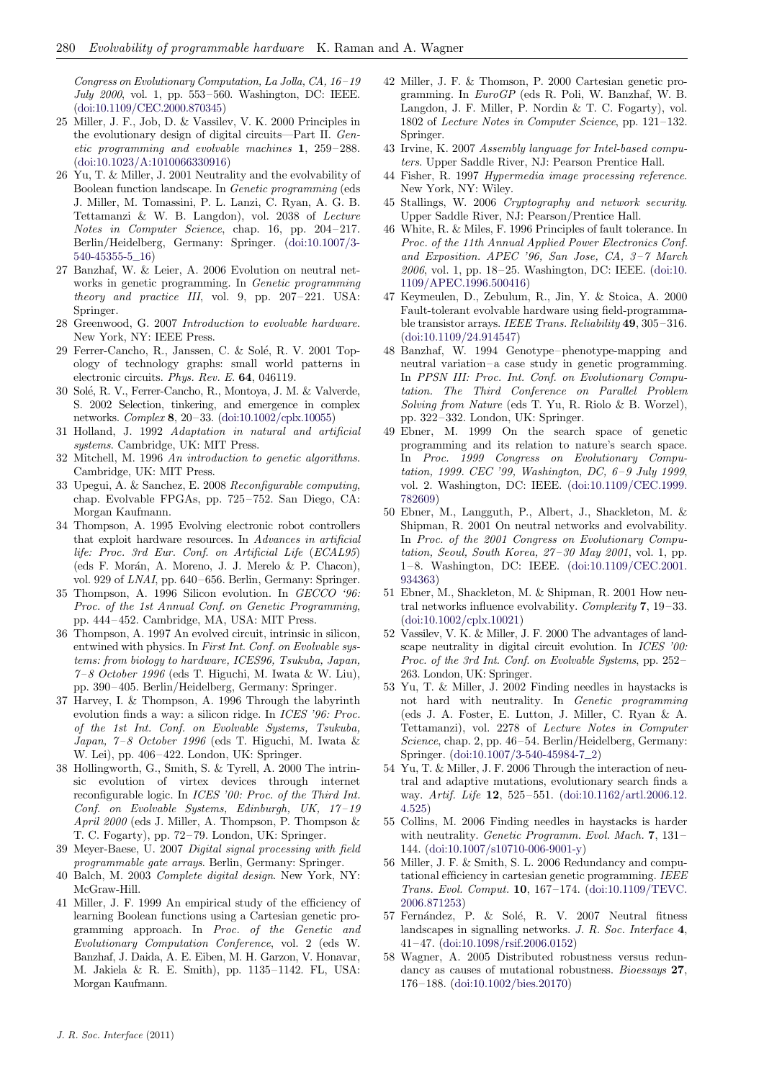Congress on Evolutionary Computation, La Jolla, CA, 16–19 July 2000, vol. 1, pp. 553–560. Washington, DC: IEEE. (doi:10.1109/CEC.2000.870345)

- 25 Miller, J. F., Job, D. & Vassilev, V. K. 2000 Principles in the evolutionary design of digital circuits—Part II. Genetic programming and evolvable machines 1, 259 –288. (doi:10.1023/A:1010066330916)
- 26 Yu, T. & Miller, J. 2001 Neutrality and the evolvability of Boolean function landscape. In Genetic programming (eds J. Miller, M. Tomassini, P. L. Lanzi, C. Ryan, A. G. B. Tettamanzi & W. B. Langdon), vol. 2038 of Lecture Notes in Computer Science, chap. 16, pp. 204-217. Berlin/Heidelberg, Germany: Springer. (doi:10.1007/3- 540-45355-5\_16)
- 27 Banzhaf, W. & Leier, A. 2006 Evolution on neutral networks in genetic programming. In Genetic programming theory and practice III, vol. 9, pp.  $207-221$ . USA: Springer.
- 28 Greenwood, G. 2007 Introduction to evolvable hardware. New York, NY: IEEE Press.
- 29 Ferrer-Cancho, R., Janssen, C. & Solé, R. V. 2001 Topology of technology graphs: small world patterns in electronic circuits. Phys. Rev. E. 64, 046119.
- 30 Sole´, R. V., Ferrer-Cancho, R., Montoya, J. M. & Valverde, S. 2002 Selection, tinkering, and emergence in complex networks. Complex 8, 20–33. (doi:10.1002/cplx.10055)
- 31 Holland, J. 1992 Adaptation in natural and artificial systems. Cambridge, UK: MIT Press.
- 32 Mitchell, M. 1996 An introduction to genetic algorithms. Cambridge, UK: MIT Press.
- 33 Upegui, A. & Sanchez, E. 2008 Reconfigurable computing, chap. Evolvable FPGAs, pp. 725 –752. San Diego, CA: Morgan Kaufmann.
- 34 Thompson, A. 1995 Evolving electronic robot controllers that exploit hardware resources. In Advances in artificial life: Proc. 3rd Eur. Conf. on Artificial Life (ECAL95) (eds F. Mora´n, A. Moreno, J. J. Merelo & P. Chacon), vol. 929 of *LNAI*, pp. 640–656. Berlin, Germany: Springer.
- 35 Thompson, A. 1996 Silicon evolution. In GECCO '96: Proc. of the 1st Annual Conf. on Genetic Programming, pp. 444– 452. Cambridge, MA, USA: MIT Press.
- 36 Thompson, A. 1997 An evolved circuit, intrinsic in silicon, entwined with physics. In First Int. Conf. on Evolvable systems: from biology to hardware, ICES96, Tsukuba, Japan, 7–8 October 1996 (eds T. Higuchi, M. Iwata & W. Liu), pp. 390– 405. Berlin/Heidelberg, Germany: Springer.
- 37 Harvey, I. & Thompson, A. 1996 Through the labyrinth evolution finds a way: a silicon ridge. In ICES '96: Proc. of the 1st Int. Conf. on Evolvable Systems, Tsukuba, Japan, 7–8 October 1996 (eds T. Higuchi, M. Iwata & W. Lei), pp. 406-422. London, UK: Springer.
- 38 Hollingworth, G., Smith, S. & Tyrell, A. 2000 The intrinsic evolution of virtex devices through internet reconfigurable logic. In ICES '00: Proc. of the Third Int. Conf. on Evolvable Systems, Edinburgh, UK, 17–19 April 2000 (eds J. Miller, A. Thompson, P. Thompson & T. C. Fogarty), pp. 72– 79. London, UK: Springer.
- 39 Meyer-Baese, U. 2007 Digital signal processing with field programmable gate arrays. Berlin, Germany: Springer.
- 40 Balch, M. 2003 Complete digital design. New York, NY: McGraw-Hill.
- 41 Miller, J. F. 1999 An empirical study of the efficiency of learning Boolean functions using a Cartesian genetic programming approach. In Proc. of the Genetic and Evolutionary Computation Conference, vol. 2 (eds W. Banzhaf, J. Daida, A. E. Eiben, M. H. Garzon, V. Honavar, M. Jakiela & R. E. Smith), pp. 1135–1142. FL, USA: Morgan Kaufmann.
- 42 Miller, J. F. & Thomson, P. 2000 Cartesian genetic programming. In EuroGP (eds R. Poli, W. Banzhaf, W. B. Langdon, J. F. Miller, P. Nordin & T. C. Fogarty), vol. 1802 of Lecture Notes in Computer Science, pp. 121–132. Springer.
- 43 Irvine, K. 2007 Assembly language for Intel-based computers. Upper Saddle River, NJ: Pearson Prentice Hall.
- 44 Fisher, R. 1997 Hypermedia image processing reference. New York, NY: Wiley.
- 45 Stallings, W. 2006 Cryptography and network security. Upper Saddle River, NJ: Pearson/Prentice Hall.
- 46 White, R. & Miles, F. 1996 Principles of fault tolerance. In Proc. of the 11th Annual Applied Power Electronics Conf. and Exposition. APEC '96, San Jose, CA, 3–7 March 2006, vol. 1, pp. 18–25. Washington, DC: IEEE. (doi:10. 1109/APEC.1996.500416)
- 47 Keymeulen, D., Zebulum, R., Jin, Y. & Stoica, A. 2000 Fault-tolerant evolvable hardware using field-programmable transistor arrays. IEEE Trans. Reliability 49, 305-316. (doi:10.1109/24.914547)
- 48 Banzhaf, W. 1994 Genotype –phenotype-mapping and neutral variation –a case study in genetic programming. In PPSN III: Proc. Int. Conf. on Evolutionary Computation. The Third Conference on Parallel Problem Solving from Nature (eds T. Yu, R. Riolo & B. Worzel), pp. 322–332. London, UK: Springer.
- 49 Ebner, M. 1999 On the search space of genetic programming and its relation to nature's search space. In Proc. 1999 Congress on Evolutionary Computation, 1999. CEC '99, Washington, DC, 6–9 July 1999, vol. 2. Washington, DC: IEEE. (doi:10.1109/CEC.1999. 782609)
- 50 Ebner, M., Langguth, P., Albert, J., Shackleton, M. & Shipman, R. 2001 On neutral networks and evolvability. In Proc. of the 2001 Congress on Evolutionary Computation, Seoul, South Korea, 27–30 May 2001, vol. 1, pp. 1–8. Washington, DC: IEEE. (doi:10.1109/CEC.2001. 934363)
- 51 Ebner, M., Shackleton, M. & Shipman, R. 2001 How neutral networks influence evolvability. Complexity 7, 19–33. (doi:10.1002/cplx.10021)
- 52 Vassilev, V. K. & Miller, J. F. 2000 The advantages of landscape neutrality in digital circuit evolution. In ICES '00: Proc. of the 3rd Int. Conf. on Evolvable Systems, pp. 252– 263. London, UK: Springer.
- 53 Yu, T. & Miller, J. 2002 Finding needles in haystacks is not hard with neutrality. In Genetic programming (eds J. A. Foster, E. Lutton, J. Miller, C. Ryan & A. Tettamanzi), vol. 2278 of Lecture Notes in Computer Science, chap. 2, pp. 46–54. Berlin/Heidelberg, Germany: Springer. (doi:10.1007/3-540-45984-7\_2)
- 54 Yu, T. & Miller, J. F. 2006 Through the interaction of neutral and adaptive mutations, evolutionary search finds a way. Artif. Life 12, 525-551. (doi:10.1162/artl.2006.12. 4.525)
- 55 Collins, M. 2006 Finding needles in haystacks is harder with neutrality. Genetic Programm. Evol. Mach. 7, 131-144. (doi:10.1007/s10710-006-9001-y)
- 56 Miller, J. F. & Smith, S. L. 2006 Redundancy and computational efficiency in cartesian genetic programming. IEEE Trans. Evol. Comput. 10, 167 –174. (doi:10.1109/TEVC. 2006.871253)
- 57 Fernández, P. & Solé, R. V. 2007 Neutral fitness landscapes in signalling networks. J. R. Soc. Interface 4, 41–47. (doi:10.1098/rsif.2006.0152)
- 58 Wagner, A. 2005 Distributed robustness versus redundancy as causes of mutational robustness. Bioessays 27, 176– 188. (doi:10.1002/bies.20170)